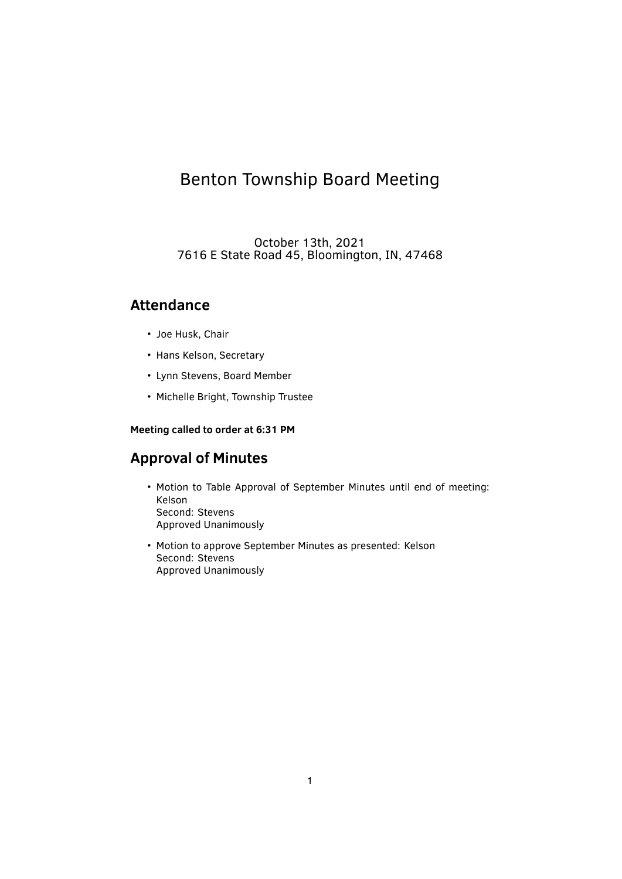# Benton Township Board Meeting

October 13th, 2021 7616 E State Road 45, Bloomington, IN, 47468

## **Attendance**

- Joe Husk, Chair
- Hans Kelson, Secretary
- Lynn Stevens, Board Member
- Michelle Bright, Township Trustee

#### **Meeting called to order at 6:31 PM**

## **Approval of Minutes**

- Motion to Table Approval of September Minutes until end of meeting: Kelson Second: Stevens Approved Unanimously
- Motion to approve September Minutes as presented: Kelson Second: Stevens Approved Unanimously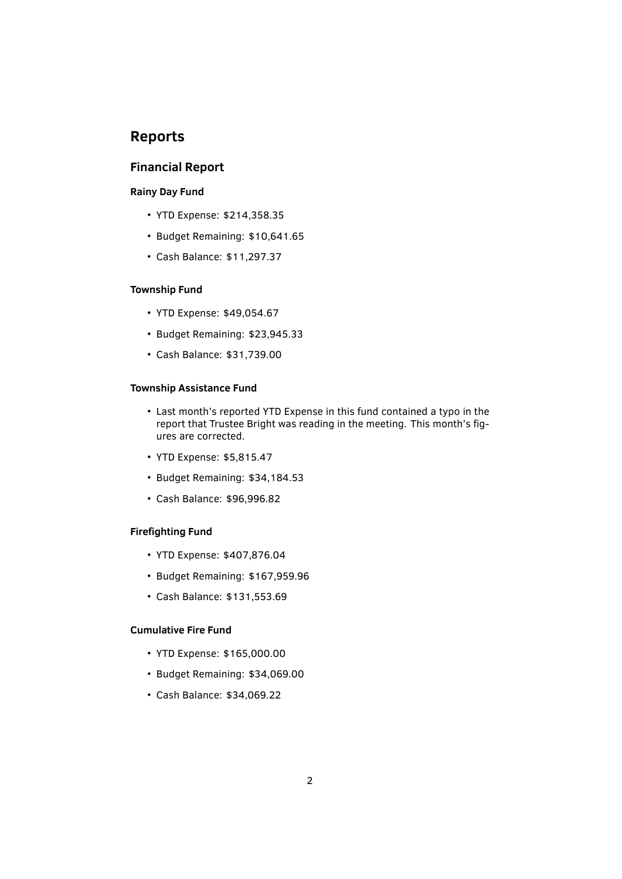## **Reports**

### **Financial Report**

#### **Rainy Day Fund**

- YTD Expense: \$214,358.35
- Budget Remaining: \$10,641.65
- Cash Balance: \$11,297.37

#### **Township Fund**

- YTD Expense: \$49,054.67
- Budget Remaining: \$23,945.33
- Cash Balance: \$31,739.00

#### **Township Assistance Fund**

- Last month's reported YTD Expense in this fund contained a typo in the report that Trustee Bright was reading in the meeting. This month's figures are corrected.
- YTD Expense: \$5,815.47
- Budget Remaining: \$34,184.53
- Cash Balance: \$96,996.82

#### **Firefighting Fund**

- YTD Expense: \$407,876.04
- Budget Remaining: \$167,959.96
- Cash Balance: \$131,553.69

#### **Cumulative Fire Fund**

- YTD Expense: \$165,000.00
- Budget Remaining: \$34,069.00
- Cash Balance: \$34,069.22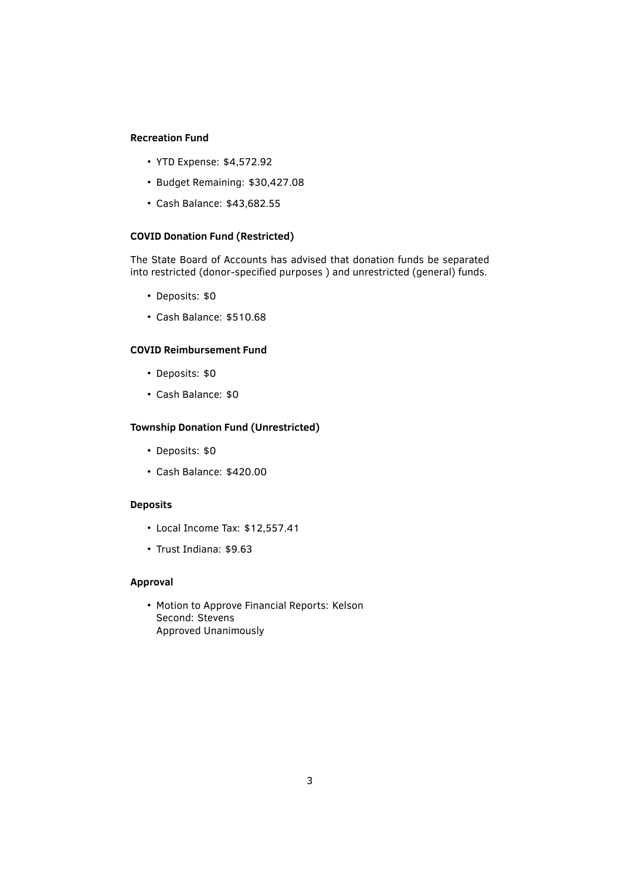#### **Recreation Fund**

- YTD Expense: \$4,572.92
- Budget Remaining: \$30,427.08
- Cash Balance: \$43,682.55

#### **COVID Donation Fund (Restricted)**

The State Board of Accounts has advised that donation funds be separated into restricted (donor-specified purposes ) and unrestricted (general) funds.

- Deposits: \$0
- Cash Balance: \$510.68

#### **COVID Reimbursement Fund**

- Deposits: \$0
- Cash Balance: \$0

#### **Township Donation Fund (Unrestricted)**

- Deposits: \$0
- Cash Balance: \$420.00

#### **Deposits**

- Local Income Tax: \$12,557.41
- Trust Indiana: \$9.63

#### **Approval**

• Motion to Approve Financial Reports: Kelson Second: Stevens Approved Unanimously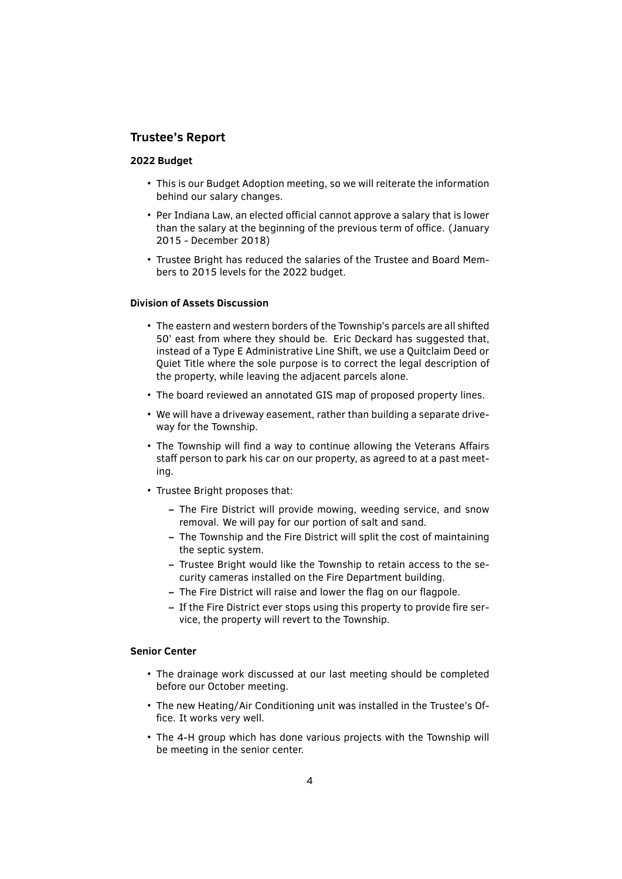#### **Trustee's Report**

#### **2022 Budget**

- This is our Budget Adoption meeting, so we will reiterate the information behind our salary changes.
- Per Indiana Law, an elected official cannot approve a salary that is lower than the salary at the beginning of the previous term of office. (January 2015 - December 2018)
- Trustee Bright has reduced the salaries of the Trustee and Board Members to 2015 levels for the 2022 budget.

#### **Division of Assets Discussion**

- The eastern and western borders of the Township's parcels are all shifted 50' east from where they should be. Eric Deckard has suggested that, instead of a Type E Administrative Line Shift, we use a Quitclaim Deed or Quiet Title where the sole purpose is to correct the legal description of the property, while leaving the adjacent parcels alone.
- The board reviewed an annotated GIS map of proposed property lines.
- We will have a driveway easement, rather than building a separate driveway for the Township.
- The Township will find a way to continue allowing the Veterans Affairs staff person to park his car on our property, as agreed to at a past meeting.
- Trustee Bright proposes that:
	- **–** The Fire District will provide mowing, weeding service, and snow removal. We will pay for our portion of salt and sand.
	- **–** The Township and the Fire District will split the cost of maintaining the septic system.
	- **–** Trustee Bright would like the Township to retain access to the security cameras installed on the Fire Department building.
	- **–** The Fire District will raise and lower the ̭ag on our ̭agpole.
	- **–** If the Fire District ever stops using this property to provide ̬re service, the property will revert to the Township.

#### **Senior Center**

- The drainage work discussed at our last meeting should be completed before our October meeting.
- The new Heating/Air Conditioning unit was installed in the Trustee's Of fice. It works very well.
- The 4-H group which has done various projects with the Township will be meeting in the senior center.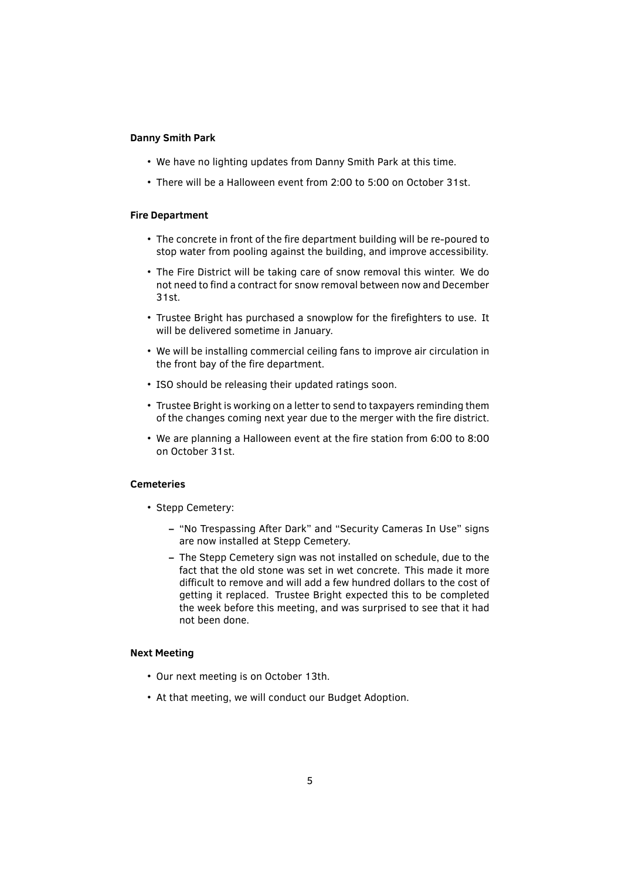#### **Danny Smith Park**

- We have no lighting updates from Danny Smith Park at this time.
- There will be a Halloween event from 2:00 to 5:00 on October 31st.

#### **Fire Department**

- The concrete in front of the fire department building will be re-poured to stop water from pooling against the building, and improve accessibility.
- The Fire District will be taking care of snow removal this winter. We do not need to find a contract for snow removal between now and December 31st.
- Trustee Bright has purchased a snowplow for the firefighters to use. It will be delivered sometime in January.
- We will be installing commercial ceiling fans to improve air circulation in the front bay of the fire department.
- ISO should be releasing their updated ratings soon.
- Trustee Bright is working on a letter to send to taxpayers reminding them of the changes coming next year due to the merger with the fire district.
- We are planning a Halloween event at the fire station from 6:00 to 8:00 on October 31st.

#### **Cemeteries**

- Stepp Cemetery:
	- **–** "No Trespassing After Dark" and "Security Cameras In Use" signs are now installed at Stepp Cemetery.
	- **–** The Stepp Cemetery sign was not installed on schedule, due to the fact that the old stone was set in wet concrete. This made it more difficult to remove and will add a few hundred dollars to the cost of getting it replaced. Trustee Bright expected this to be completed the week before this meeting, and was surprised to see that it had not been done.

#### **Next Meeting**

- Our next meeting is on October 13th.
- At that meeting, we will conduct our Budget Adoption.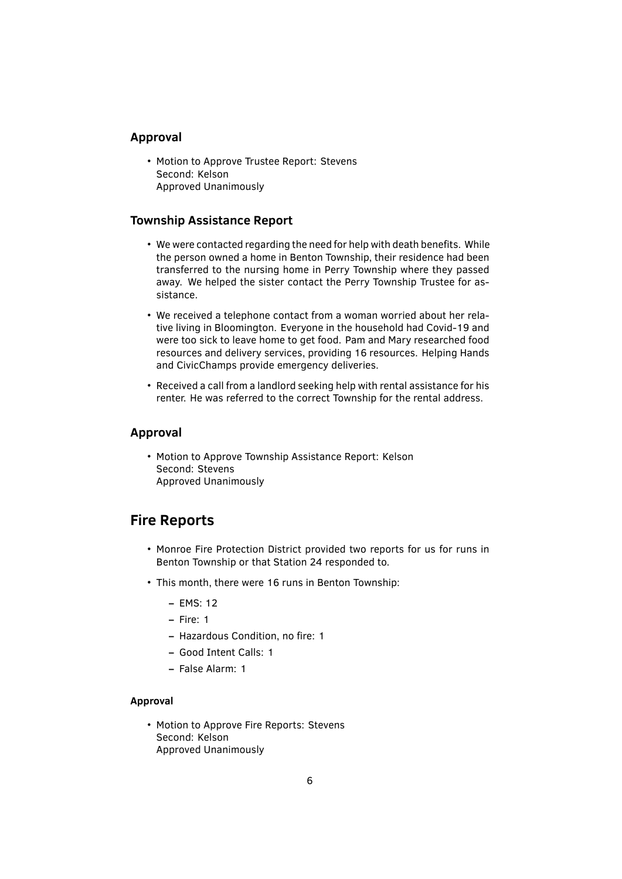#### **Approval**

• Motion to Approve Trustee Report: Stevens Second: Kelson Approved Unanimously

#### **Township Assistance Report**

- We were contacted regarding the need for help with death benefits. While the person owned a home in Benton Township, their residence had been transferred to the nursing home in Perry Township where they passed away. We helped the sister contact the Perry Township Trustee for assistance.
- We received a telephone contact from a woman worried about her relative living in Bloomington. Everyone in the household had Covid-19 and were too sick to leave home to get food. Pam and Mary researched food resources and delivery services, providing 16 resources. Helping Hands and CivicChamps provide emergency deliveries.
- Received a call from a landlord seeking help with rental assistance for his renter. He was referred to the correct Township for the rental address.

#### **Approval**

• Motion to Approve Township Assistance Report: Kelson Second: Stevens Approved Unanimously

## **Fire Reports**

- Monroe Fire Protection District provided two reports for us for runs in Benton Township or that Station 24 responded to.
- This month, there were 16 runs in Benton Township:
	- **–** EMS: 12
	- **–** Fire: 1
	- **–** Hazardous Condition, no ̬re: 1
	- **–** Good Intent Calls: 1
	- **–** False Alarm: 1

#### **Approval**

• Motion to Approve Fire Reports: Stevens Second: Kelson Approved Unanimously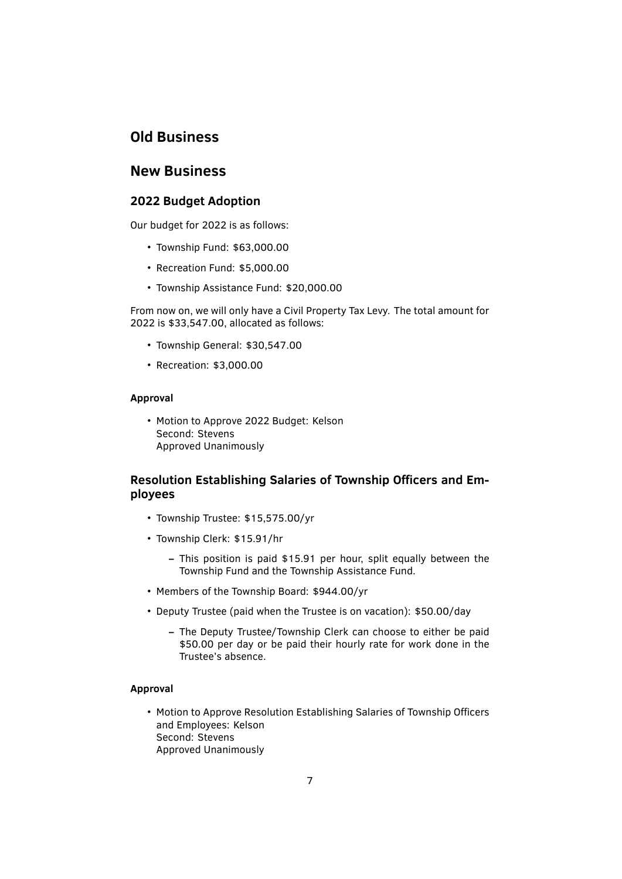## **Old Business**

### **New Business**

#### **2022 Budget Adoption**

Our budget for 2022 is as follows:

- Township Fund: \$63,000.00
- Recreation Fund: \$5,000.00
- Township Assistance Fund: \$20,000.00

From now on, we will only have a Civil Property Tax Levy. The total amount for 2022 is \$33,547.00, allocated as follows:

- Township General: \$30,547.00
- Recreation: \$3,000.00

#### **Approval**

• Motion to Approve 2022 Budget: Kelson Second: Stevens Approved Unanimously

### **Resolution Establishing Salaries of Township Officers and Employees**

- Township Trustee: \$15,575.00/yr
- Township Clerk: \$15.91/hr
	- **–** This position is paid \$15.91 per hour, split equally between the Township Fund and the Township Assistance Fund.
- Members of the Township Board: \$944.00/yr
- Deputy Trustee (paid when the Trustee is on vacation): \$50.00/day
	- **–** The Deputy Trustee/Township Clerk can choose to either be paid \$50.00 per day or be paid their hourly rate for work done in the Trustee's absence.

#### **Approval**

• Motion to Approve Resolution Establishing Salaries of Township Officers and Employees: Kelson Second: Stevens Approved Unanimously